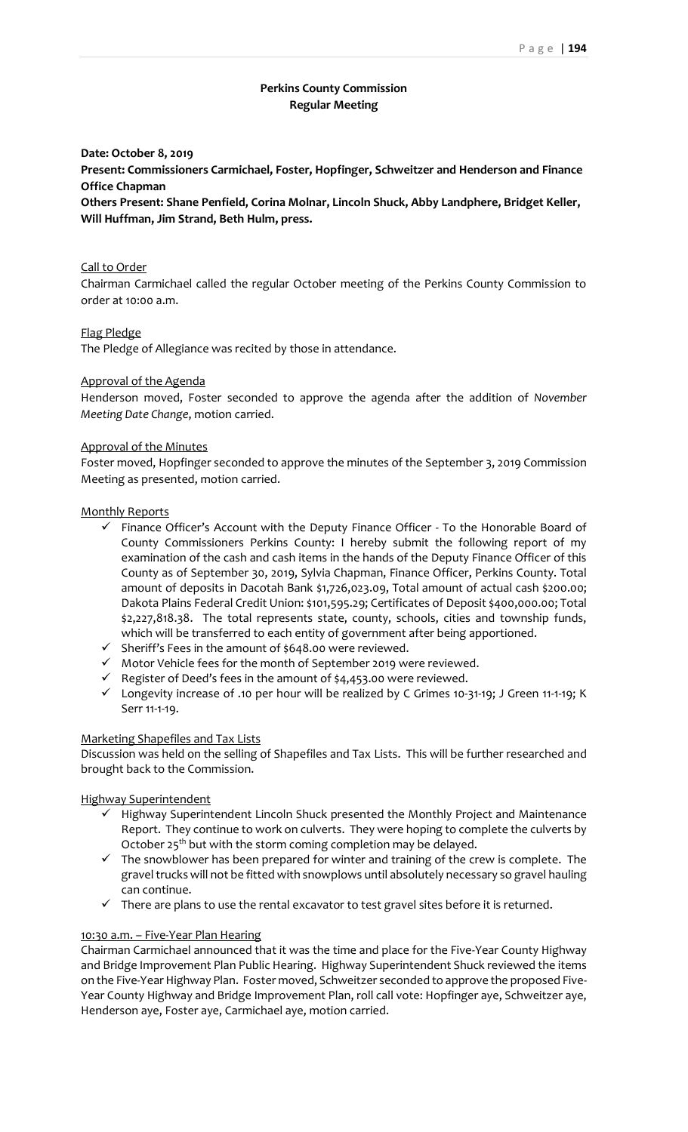## **Perkins County Commission Regular Meeting**

#### **Date: October 8, 2019**

**Present: Commissioners Carmichael, Foster, Hopfinger, Schweitzer and Henderson and Finance Office Chapman**

**Others Present: Shane Penfield, Corina Molnar, Lincoln Shuck, Abby Landphere, Bridget Keller, Will Huffman, Jim Strand, Beth Hulm, press.**

#### Call to Order

Chairman Carmichael called the regular October meeting of the Perkins County Commission to order at 10:00 a.m.

#### Flag Pledge

The Pledge of Allegiance was recited by those in attendance.

### Approval of the Agenda

Henderson moved, Foster seconded to approve the agenda after the addition of *November Meeting Date Change*, motion carried.

#### Approval of the Minutes

Foster moved, Hopfinger seconded to approve the minutes of the September 3, 2019 Commission Meeting as presented, motion carried.

#### Monthly Reports

- $\checkmark$  Finance Officer's Account with the Deputy Finance Officer To the Honorable Board of County Commissioners Perkins County: I hereby submit the following report of my examination of the cash and cash items in the hands of the Deputy Finance Officer of this County as of September 30, 2019, Sylvia Chapman, Finance Officer, Perkins County. Total amount of deposits in Dacotah Bank \$1,726,023.09, Total amount of actual cash \$200.00; Dakota Plains Federal Credit Union: \$101,595.29; Certificates of Deposit \$400,000.00; Total \$2,227,818.38. The total represents state, county, schools, cities and township funds, which will be transferred to each entity of government after being apportioned.
- $\checkmark$  Sheriff's Fees in the amount of \$648.00 were reviewed.
- $\checkmark$  Motor Vehicle fees for the month of September 2019 were reviewed.
- $\checkmark$  Register of Deed's fees in the amount of \$4,453.00 were reviewed.
- ✓ Longevity increase of .10 per hour will be realized by C Grimes 10-31-19; J Green 11-1-19; K Serr 11-1-19.

#### Marketing Shapefiles and Tax Lists

Discussion was held on the selling of Shapefiles and Tax Lists. This will be further researched and brought back to the Commission.

#### Highway Superintendent

- ✓ Highway Superintendent Lincoln Shuck presented the Monthly Project and Maintenance Report. They continue to work on culverts. They were hoping to complete the culverts by October 25<sup>th</sup> but with the storm coming completion may be delayed.
- $\checkmark$  The snowblower has been prepared for winter and training of the crew is complete. The gravel trucks will not be fitted with snowplows until absolutely necessary so gravel hauling can continue.
- $\checkmark$  There are plans to use the rental excavator to test gravel sites before it is returned.

#### 10:30 a.m. – Five-Year Plan Hearing

Chairman Carmichael announced that it was the time and place for the Five-Year County Highway and Bridge Improvement Plan Public Hearing. Highway Superintendent Shuck reviewed the items on the Five-Year Highway Plan. Foster moved, Schweitzer seconded to approve the proposed Five-Year County Highway and Bridge Improvement Plan, roll call vote: Hopfinger aye, Schweitzer aye, Henderson aye, Foster aye, Carmichael aye, motion carried.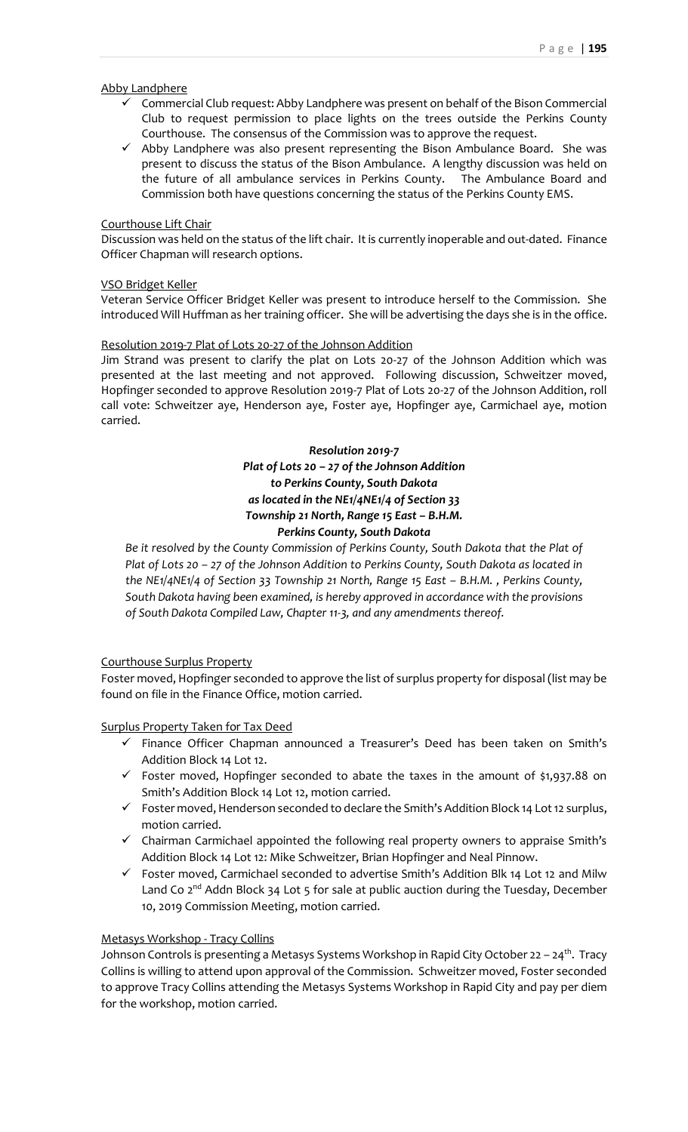#### Abby Landphere

- ✓ Commercial Club request: Abby Landphere was present on behalf of the Bison Commercial Club to request permission to place lights on the trees outside the Perkins County Courthouse. The consensus of the Commission was to approve the request.
- ✓ Abby Landphere was also present representing the Bison Ambulance Board. She was present to discuss the status of the Bison Ambulance. A lengthy discussion was held on the future of all ambulance services in Perkins County. The Ambulance Board and Commission both have questions concerning the status of the Perkins County EMS.

### Courthouse Lift Chair

Discussion was held on the status of the lift chair. It is currently inoperable and out-dated. Finance Officer Chapman will research options.

### VSO Bridget Keller

Veteran Service Officer Bridget Keller was present to introduce herself to the Commission. She introduced Will Huffman as her training officer. She will be advertising the days she is in the office.

#### Resolution 2019-7 Plat of Lots 20-27 of the Johnson Addition

Jim Strand was present to clarify the plat on Lots 20-27 of the Johnson Addition which was presented at the last meeting and not approved. Following discussion, Schweitzer moved, Hopfinger seconded to approve Resolution 2019-7 Plat of Lots 20-27 of the Johnson Addition, roll call vote: Schweitzer aye, Henderson aye, Foster aye, Hopfinger aye, Carmichael aye, motion carried.

# *Resolution 2019-7 Plat of Lots 20 – 27 of the Johnson Addition to Perkins County, South Dakota as located in the NE1/4NE1/4 of Section 33 Township 21 North, Range 15 East - B.H.M. Perkins County, South Dakota*

*Be it resolved by the County Commission of Perkins County, South Dakota that the Plat of Plat of Lots 20 – 27 of the Johnson Addition to Perkins County, South Dakota as located in the NE1/4NE1/4 of Section 33 Township 21 North, Range 15 East – B.H.M. , Perkins County, South Dakota having been examined, is hereby approved in accordance with the provisions of South Dakota Compiled Law, Chapter 11-3, and any amendments thereof.*

### Courthouse Surplus Property

Foster moved, Hopfinger seconded to approve the list of surplus property for disposal (list may be found on file in the Finance Office, motion carried.

Surplus Property Taken for Tax Deed

- ✓ Finance Officer Chapman announced a Treasurer's Deed has been taken on Smith's Addition Block 14 Lot 12.
- ✓ Foster moved, Hopfinger seconded to abate the taxes in the amount of \$1,937.88 on Smith's Addition Block 14 Lot 12, motion carried.
- ✓ Foster moved, Henderson seconded to declare the Smith's Addition Block 14 Lot 12 surplus, motion carried.
- ✓ Chairman Carmichael appointed the following real property owners to appraise Smith's Addition Block 14 Lot 12: Mike Schweitzer, Brian Hopfinger and Neal Pinnow.
- $\checkmark$  Foster moved, Carmichael seconded to advertise Smith's Addition Blk 14 Lot 12 and Milw Land Co  $2^{nd}$  Addn Block 34 Lot 5 for sale at public auction during the Tuesday, December 10, 2019 Commission Meeting, motion carried.

### Metasys Workshop - Tracy Collins

Johnson Controls is presenting a Metasys Systems Workshop in Rapid City October 22 - 24<sup>th</sup>. Tracy Collins is willing to attend upon approval of the Commission. Schweitzer moved, Foster seconded to approve Tracy Collins attending the Metasys Systems Workshop in Rapid City and pay per diem for the workshop, motion carried.